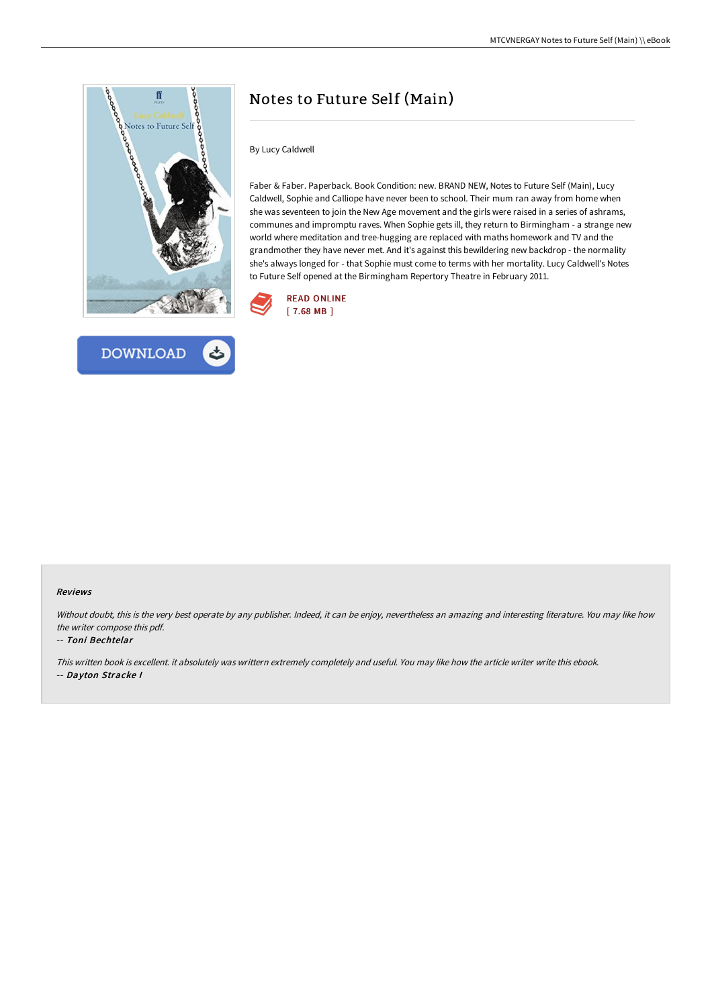



# Notes to Future Self (Main)

## By Lucy Caldwell

Faber & Faber. Paperback. Book Condition: new. BRAND NEW, Notes to Future Self (Main), Lucy Caldwell, Sophie and Calliope have never been to school. Their mum ran away from home when she was seventeen to join the New Age movement and the girls were raised in a series of ashrams, communes and impromptu raves. When Sophie gets ill, they return to Birmingham - a strange new world where meditation and tree-hugging are replaced with maths homework and TV and the grandmother they have never met. And it's against this bewildering new backdrop - the normality she's always longed for - that Sophie must come to terms with her mortality. Lucy Caldwell's Notes to Future Self opened at the Birmingham Repertory Theatre in February 2011.



#### Reviews

Without doubt, this is the very best operate by any publisher. Indeed, it can be enjoy, nevertheless an amazing and interesting literature. You may like how the writer compose this pdf.

#### -- Toni Bechtelar

This written book is excellent. it absolutely was writtern extremely completely and useful. You may like how the article writer write this ebook.

-- Dayton Stracke I